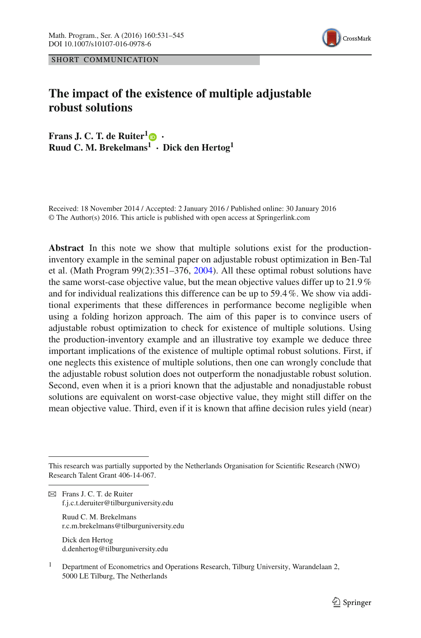

SHORT COMMUNICATION

# **The impact of the existence of multiple adjustable robust solutions**

**Frans J. C. T. de Ruiter<sup>[1](http://orcid.org/0000-0002-1968-6618)</sup>**  $\bullet$  **· Ruud C. M. Brekelmans<sup>1</sup> · Dick den Hertog<sup>1</sup>**

Received: 18 November 2014 / Accepted: 2 January 2016 / Published online: 30 January 2016 © The Author(s) 2016. This article is published with open access at Springerlink.com

**Abstract** In this note we show that multiple solutions exist for the productioninventory example in the seminal paper on adjustable robust optimization in Ben-Tal et al. (Math Program 99(2):351–376, [2004\)](#page-14-0). All these optimal robust solutions have the same worst-case objective value, but the mean objective values differ up to 21.9% and for individual realizations this difference can be up to 59.4%. We show via additional experiments that these differences in performance become negligible when using a folding horizon approach. The aim of this paper is to convince users of adjustable robust optimization to check for existence of multiple solutions. Using the production-inventory example and an illustrative toy example we deduce three important implications of the existence of multiple optimal robust solutions. First, if one neglects this existence of multiple solutions, then one can wrongly conclude that the adjustable robust solution does not outperform the nonadjustable robust solution. Second, even when it is a priori known that the adjustable and nonadjustable robust solutions are equivalent on worst-case objective value, they might still differ on the mean objective value. Third, even if it is known that affine decision rules yield (near)

B Frans J. C. T. de Ruiter f.j.c.t.deruiter@tilburguniversity.edu

> Ruud C. M. Brekelmans r.c.m.brekelmans@tilburguniversity.edu

Dick den Hertog d.denhertog@tilburguniversity.edu

<sup>1</sup> Department of Econometrics and Operations Research, Tilburg University, Warandelaan 2, 5000 LE Tilburg, The Netherlands

This research was partially supported by the Netherlands Organisation for Scientific Research (NWO) Research Talent Grant 406-14-067.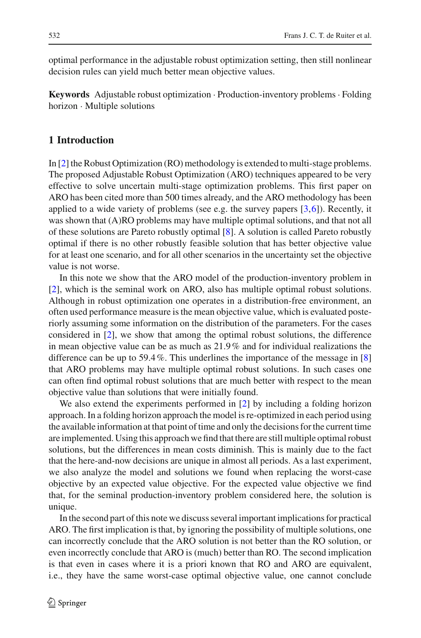optimal performance in the adjustable robust optimization setting, then still nonlinear decision rules can yield much better mean objective values.

**Keywords** Adjustable robust optimization · Production-inventory problems· Folding horizon · Multiple solutions

## **1 Introduction**

In [\[2\]](#page-14-0) the Robust Optimization (RO) methodology is extended to multi-stage problems. The proposed Adjustable Robust Optimization (ARO) techniques appeared to be very effective to solve uncertain multi-stage optimization problems. This first paper on ARO has been cited more than 500 times already, and the ARO methodology has been applied to a wide variety of problems (see e.g. the survey papers  $[3,6]$  $[3,6]$  $[3,6]$ ). Recently, it was shown that (A)RO problems may have multiple optimal solutions, and that not all of these solutions are Pareto robustly optimal [\[8\]](#page-14-3). A solution is called Pareto robustly optimal if there is no other robustly feasible solution that has better objective value for at least one scenario, and for all other scenarios in the uncertainty set the objective value is not worse.

In this note we show that the ARO model of the production-inventory problem in [\[2](#page-14-0)], which is the seminal work on ARO, also has multiple optimal robust solutions. Although in robust optimization one operates in a distribution-free environment, an often used performance measure is the mean objective value, which is evaluated posteriorly assuming some information on the distribution of the parameters. For the cases considered in [\[2\]](#page-14-0), we show that among the optimal robust solutions, the difference in mean objective value can be as much as 21.9% and for individual realizations the difference can be up to 59.4%. This underlines the importance of the message in [\[8\]](#page-14-3) that ARO problems may have multiple optimal robust solutions. In such cases one can often find optimal robust solutions that are much better with respect to the mean objective value than solutions that were initially found.

We also extend the experiments performed in [\[2\]](#page-14-0) by including a folding horizon approach. In a folding horizon approach the model is re-optimized in each period using the available information at that point of time and only the decisions for the current time are implemented. Using this approach we find that there are still multiple optimal robust solutions, but the differences in mean costs diminish. This is mainly due to the fact that the here-and-now decisions are unique in almost all periods. As a last experiment, we also analyze the model and solutions we found when replacing the worst-case objective by an expected value objective. For the expected value objective we find that, for the seminal production-inventory problem considered here, the solution is unique.

In the second part of this note we discuss several important implications for practical ARO. The first implication is that, by ignoring the possibility of multiple solutions, one can incorrectly conclude that the ARO solution is not better than the RO solution, or even incorrectly conclude that ARO is (much) better than RO. The second implication is that even in cases where it is a priori known that RO and ARO are equivalent, i.e., they have the same worst-case optimal objective value, one cannot conclude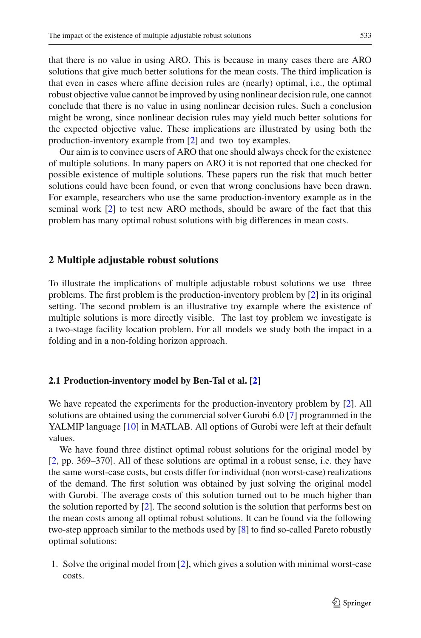that there is no value in using ARO. This is because in many cases there are ARO solutions that give much better solutions for the mean costs. The third implication is that even in cases where affine decision rules are (nearly) optimal, i.e., the optimal robust objective value cannot be improved by using nonlinear decision rule, one cannot conclude that there is no value in using nonlinear decision rules. Such a conclusion might be wrong, since nonlinear decision rules may yield much better solutions for the expected objective value. These implications are illustrated by using both the production-inventory example from [\[2\]](#page-14-0) and two toy examples.

Our aim is to convince users of ARO that one should always check for the existence of multiple solutions. In many papers on ARO it is not reported that one checked for possible existence of multiple solutions. These papers run the risk that much better solutions could have been found, or even that wrong conclusions have been drawn. For example, researchers who use the same production-inventory example as in the seminal work [\[2\]](#page-14-0) to test new ARO methods, should be aware of the fact that this problem has many optimal robust solutions with big differences in mean costs.

#### **2 Multiple adjustable robust solutions**

To illustrate the implications of multiple adjustable robust solutions we use three problems. The first problem is the production-inventory problem by [\[2\]](#page-14-0) in its original setting. The second problem is an illustrative toy example where the existence of multiple solutions is more directly visible. The last toy problem we investigate is a two-stage facility location problem. For all models we study both the impact in a folding and in a non-folding horizon approach.

#### **2.1 Production-inventory model by Ben-Tal et al. [\[2\]](#page-14-0)**

We have repeated the experiments for the production-inventory problem by [\[2](#page-14-0)]. All solutions are obtained using the commercial solver Gurobi 6.0 [\[7](#page-14-4)] programmed in the YALMIP language [\[10\]](#page-14-5) in MATLAB. All options of Gurobi were left at their default values.

We have found three distinct optimal robust solutions for the original model by [\[2](#page-14-0), pp. 369–370]. All of these solutions are optimal in a robust sense, i.e. they have the same worst-case costs, but costs differ for individual (non worst-case) realizations of the demand. The first solution was obtained by just solving the original model with Gurobi. The average costs of this solution turned out to be much higher than the solution reported by [\[2\]](#page-14-0). The second solution is the solution that performs best on the mean costs among all optimal robust solutions. It can be found via the following two-step approach similar to the methods used by [\[8\]](#page-14-3) to find so-called Pareto robustly optimal solutions:

1. Solve the original model from [\[2\]](#page-14-0), which gives a solution with minimal worst-case costs.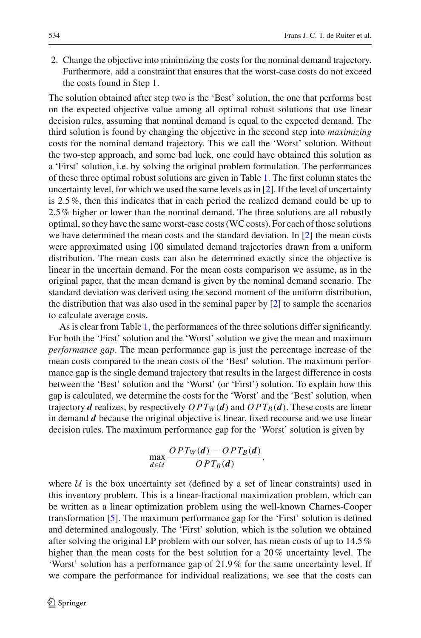2. Change the objective into minimizing the costs for the nominal demand trajectory. Furthermore, add a constraint that ensures that the worst-case costs do not exceed the costs found in Step 1.

The solution obtained after step two is the 'Best' solution, the one that performs best on the expected objective value among all optimal robust solutions that use linear decision rules, assuming that nominal demand is equal to the expected demand. The third solution is found by changing the objective in the second step into *maximizing* costs for the nominal demand trajectory. This we call the 'Worst' solution. Without the two-step approach, and some bad luck, one could have obtained this solution as a 'First' solution, i.e. by solving the original problem formulation. The performances of these three optimal robust solutions are given in Table [1.](#page-4-0) The first column states the uncertainty level, for which we used the same levels as in  $[2]$  $[2]$ . If the level of uncertainty is 2.5%, then this indicates that in each period the realized demand could be up to 2.5% higher or lower than the nominal demand. The three solutions are all robustly optimal, so they have the same worst-case costs (WC costs). For each of those solutions we have determined the mean costs and the standard deviation. In [\[2](#page-14-0)] the mean costs were approximated using 100 simulated demand trajectories drawn from a uniform distribution. The mean costs can also be determined exactly since the objective is linear in the uncertain demand. For the mean costs comparison we assume, as in the original paper, that the mean demand is given by the nominal demand scenario. The standard deviation was derived using the second moment of the uniform distribution, the distribution that was also used in the seminal paper by [\[2](#page-14-0)] to sample the scenarios to calculate average costs.

As is clear from Table [1,](#page-4-0) the performances of the three solutions differ significantly. For both the 'First' solution and the 'Worst' solution we give the mean and maximum *performance gap*. The mean performance gap is just the percentage increase of the mean costs compared to the mean costs of the 'Best' solution. The maximum performance gap is the single demand trajectory that results in the largest difference in costs between the 'Best' solution and the 'Worst' (or 'First') solution. To explain how this gap is calculated, we determine the costs for the 'Worst' and the 'Best' solution, when trajectory *d* realizes, by respectively  $OPT_W(d)$  and  $OPT_B(d)$ . These costs are linear in demand *d* because the original objective is linear, fixed recourse and we use linear decision rules. The maximum performance gap for the 'Worst' solution is given by

$$
\max_{\boldsymbol{d}\in\mathcal{U}}\frac{OPT_W(\boldsymbol{d})-OPT_B(\boldsymbol{d})}{OPT_B(\boldsymbol{d})},
$$

where  $U$  is the box uncertainty set (defined by a set of linear constraints) used in this inventory problem. This is a linear-fractional maximization problem, which can be written as a linear optimization problem using the well-known Charnes-Cooper transformation [\[5](#page-14-6)]. The maximum performance gap for the 'First' solution is defined and determined analogously. The 'First' solution, which is the solution we obtained after solving the original LP problem with our solver, has mean costs of up to 14.5% higher than the mean costs for the best solution for a 20% uncertainty level. The 'Worst' solution has a performance gap of 21.9% for the same uncertainty level. If we compare the performance for individual realizations, we see that the costs can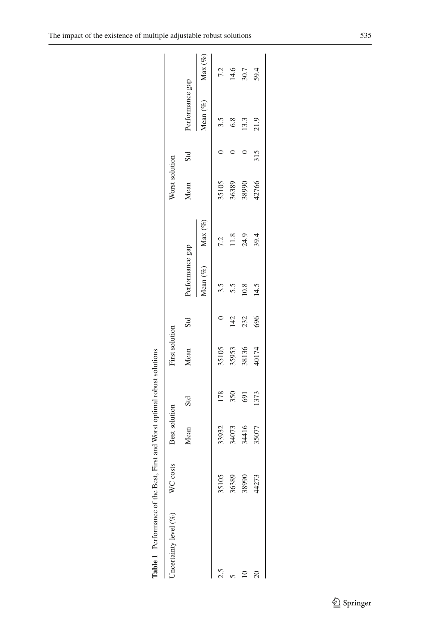| Jncertainty level (%) | costs<br>$\aleph C$ | Best solution |      | First solution |     |                        |      | Worst solution |     |                        |      |
|-----------------------|---------------------|---------------|------|----------------|-----|------------------------|------|----------------|-----|------------------------|------|
|                       |                     | Mean          | Std  | Mean           | Std | Performance gap        |      | Mean           | Std | Performance gap        |      |
|                       |                     |               |      |                |     | Mean $(\%)$ Max $(\%)$ |      |                |     | Mean $(\%)$ Max $(\%)$ |      |
|                       | 35105               | 33932         | 178  | 35105          |     | 3.5                    | 7.2  | 35105          |     | 3.5                    | 7.2  |
|                       | 36389               | 34073         | 350  | 35953          | 142 |                        | 11.8 | 36389          |     | 6.8                    | 14.6 |
|                       | 38990               | 34416         | 691  | 38136          | 232 | 10.8                   | 24.9 | 38990          |     | 13.3                   | 30.7 |
|                       | 44273               | 35077         | 1373 | 40174          | 696 | 14.5                   | 39.4 | 42766          | 315 | 21.9                   | 59.4 |

<span id="page-4-0"></span>

| í<br>I                                                                                 |
|----------------------------------------------------------------------------------------|
| i                                                                                      |
| ı<br>ı<br>ı<br>I                                                                       |
| í<br>l<br>j                                                                            |
| $\frac{1}{2}$<br>j<br>Î<br>ì<br>ı                                                      |
| j<br>I<br>ı<br>ì<br>$\overline{a}$                                                     |
| i<br>ŀ<br>i<br>î<br>ı                                                                  |
| i<br>S<br>֧֖֧֧ׅ֧֧ׅ֧ׅ֧֧֢֧ׅ֧֚֚֚֚֚֚֚֚֚֚֚֚֚֚֚֚֚֚֚֚֚֚֚֚֚֚֚֚֚֚֚֚֚֚֝֝֓֜֝֓֜֜֝֓֜<br>i<br>í<br>í |
| I<br>l<br>ì<br>I                                                                       |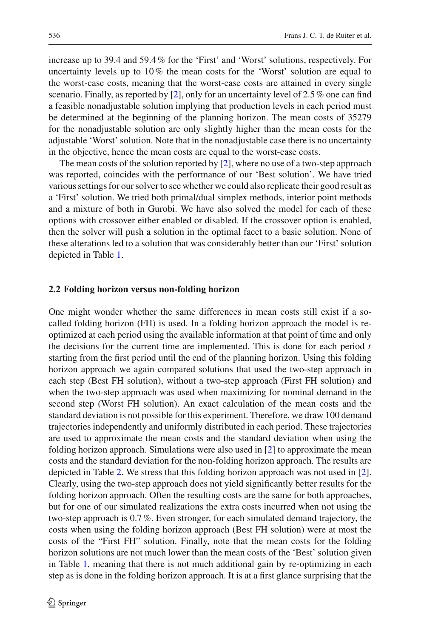increase up to 39.4 and 59.4% for the 'First' and 'Worst' solutions, respectively. For uncertainty levels up to 10% the mean costs for the 'Worst' solution are equal to the worst-case costs, meaning that the worst-case costs are attained in every single scenario. Finally, as reported by [\[2](#page-14-0)], only for an uncertainty level of 2.5% one can find a feasible nonadjustable solution implying that production levels in each period must be determined at the beginning of the planning horizon. The mean costs of 35279 for the nonadjustable solution are only slightly higher than the mean costs for the adjustable 'Worst' solution. Note that in the nonadjustable case there is no uncertainty in the objective, hence the mean costs are equal to the worst-case costs.

The mean costs of the solution reported by [\[2](#page-14-0)], where no use of a two-step approach was reported, coincides with the performance of our 'Best solution'. We have tried various settings for our solver to see whether we could also replicate their good result as a 'First' solution. We tried both primal/dual simplex methods, interior point methods and a mixture of both in Gurobi. We have also solved the model for each of these options with crossover either enabled or disabled. If the crossover option is enabled, then the solver will push a solution in the optimal facet to a basic solution. None of these alterations led to a solution that was considerably better than our 'First' solution depicted in Table [1.](#page-4-0)

### **2.2 Folding horizon versus non-folding horizon**

One might wonder whether the same differences in mean costs still exist if a socalled folding horizon (FH) is used. In a folding horizon approach the model is reoptimized at each period using the available information at that point of time and only the decisions for the current time are implemented. This is done for each period *t* starting from the first period until the end of the planning horizon. Using this folding horizon approach we again compared solutions that used the two-step approach in each step (Best FH solution), without a two-step approach (First FH solution) and when the two-step approach was used when maximizing for nominal demand in the second step (Worst FH solution). An exact calculation of the mean costs and the standard deviation is not possible for this experiment. Therefore, we draw 100 demand trajectories independently and uniformly distributed in each period. These trajectories are used to approximate the mean costs and the standard deviation when using the folding horizon approach. Simulations were also used in [\[2](#page-14-0)] to approximate the mean costs and the standard deviation for the non-folding horizon approach. The results are depicted in Table [2.](#page-6-0) We stress that this folding horizon approach was not used in [\[2](#page-14-0)]. Clearly, using the two-step approach does not yield significantly better results for the folding horizon approach. Often the resulting costs are the same for both approaches, but for one of our simulated realizations the extra costs incurred when not using the two-step approach is 0.7%. Even stronger, for each simulated demand trajectory, the costs when using the folding horizon approach (Best FH solution) were at most the costs of the "First FH" solution. Finally, note that the mean costs for the folding horizon solutions are not much lower than the mean costs of the 'Best' solution given in Table [1,](#page-4-0) meaning that there is not much additional gain by re-optimizing in each step as is done in the folding horizon approach. It is at a first glance surprising that the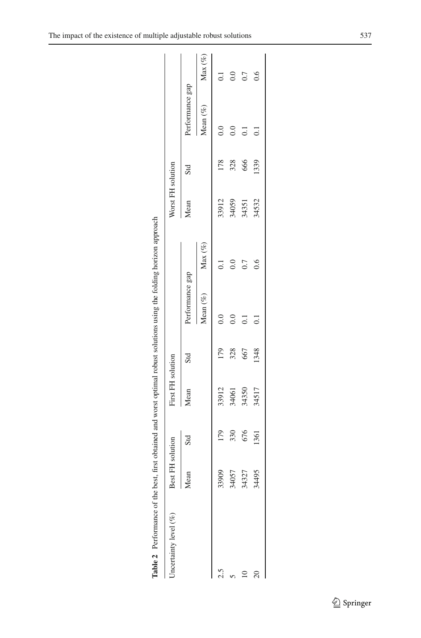| Uncertainty level (%) | Best FH solution |                          | First FH solution |      |                        |                  | Worst FH solution |      |                    |                  |
|-----------------------|------------------|--------------------------|-------------------|------|------------------------|------------------|-------------------|------|--------------------|------------------|
|                       | Mean<br>I        | $\overline{\text{S}}$ id | Mean              | Std  | Performance gap        |                  | Mean              | Std  | Performance gap    |                  |
|                       |                  |                          |                   |      | Mean $(\%)$ Max $(\%)$ |                  |                   |      | Mean $(\%)$        | Max $(\%)$       |
|                       | 33909            | 179                      | 33912             | 179  | $\rm{C}$               |                  | 33912             | 178  | $_{\odot}^{\rm O}$ |                  |
|                       | 34057            | 330                      | 34061             | 328  | $_{\odot}^{\rm O}$     |                  | 34059             | 328  |                    | $\overline{0}$ . |
|                       | 34327            | 676                      | 34350             | 667  | $\Xi$                  | 0.7              | 34351             | 666  |                    | 0.7              |
|                       | 34495            | 1361                     | 34517             | 1348 | $\overline{0}$         | $\overline{0.6}$ | 34532             | 1339 | $\overline{0}$     | 0.6              |

<span id="page-6-0"></span>

| ֘֒<br>i<br>j             |  |
|--------------------------|--|
|                          |  |
| İ                        |  |
|                          |  |
|                          |  |
| I                        |  |
| $\overline{\phantom{a}}$ |  |
| i                        |  |
| l<br>í                   |  |
| l                        |  |
|                          |  |
|                          |  |
| l<br>J                   |  |
| $\frac{6}{2}$            |  |
|                          |  |
| i                        |  |
| į                        |  |
|                          |  |
|                          |  |
|                          |  |
| ¢                        |  |
| <b>Contract</b>          |  |
|                          |  |
| l                        |  |
|                          |  |
|                          |  |
|                          |  |
| ı                        |  |
| order consideration of   |  |
|                          |  |
| í                        |  |
|                          |  |
|                          |  |
| i<br>j                   |  |
|                          |  |
| ł                        |  |
| $\frac{1}{2}$            |  |
|                          |  |
|                          |  |
| <b>Contract</b>          |  |
|                          |  |
|                          |  |
| ī                        |  |
|                          |  |
|                          |  |
| į                        |  |
|                          |  |
| j                        |  |
|                          |  |
|                          |  |
|                          |  |
|                          |  |
| l                        |  |
| i<br>l<br>I              |  |
| ļ<br>í                   |  |
|                          |  |
| N                        |  |
| ڡ                        |  |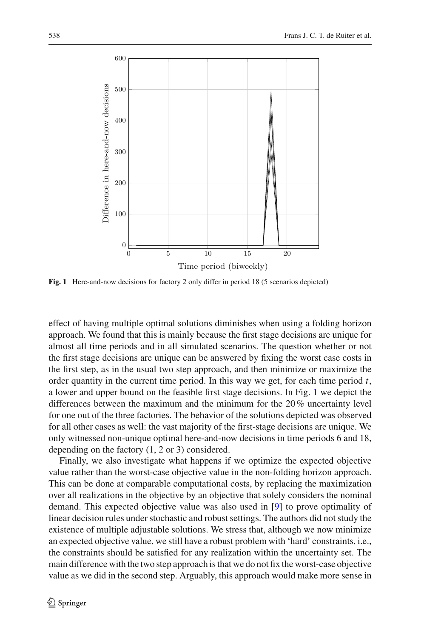

<span id="page-7-0"></span>**Fig. 1** Here-and-now decisions for factory 2 only differ in period 18 (5 scenarios depicted)

effect of having multiple optimal solutions diminishes when using a folding horizon approach. We found that this is mainly because the first stage decisions are unique for almost all time periods and in all simulated scenarios. The question whether or not the first stage decisions are unique can be answered by fixing the worst case costs in the first step, as in the usual two step approach, and then minimize or maximize the order quantity in the current time period. In this way we get, for each time period *t*, a lower and upper bound on the feasible first stage decisions. In Fig. [1](#page-7-0) we depict the differences between the maximum and the minimum for the 20% uncertainty level for one out of the three factories. The behavior of the solutions depicted was observed for all other cases as well: the vast majority of the first-stage decisions are unique. We only witnessed non-unique optimal here-and-now decisions in time periods 6 and 18, depending on the factory (1, 2 or 3) considered.

Finally, we also investigate what happens if we optimize the expected objective value rather than the worst-case objective value in the non-folding horizon approach. This can be done at comparable computational costs, by replacing the maximization over all realizations in the objective by an objective that solely considers the nominal demand. This expected objective value was also used in [\[9\]](#page-14-7) to prove optimality of linear decision rules under stochastic and robust settings. The authors did not study the existence of multiple adjustable solutions. We stress that, although we now minimize an expected objective value, we still have a robust problem with 'hard' constraints, i.e., the constraints should be satisfied for any realization within the uncertainty set. The main difference with the two step approach is that we do not fix the worst-case objective value as we did in the second step. Arguably, this approach would make more sense in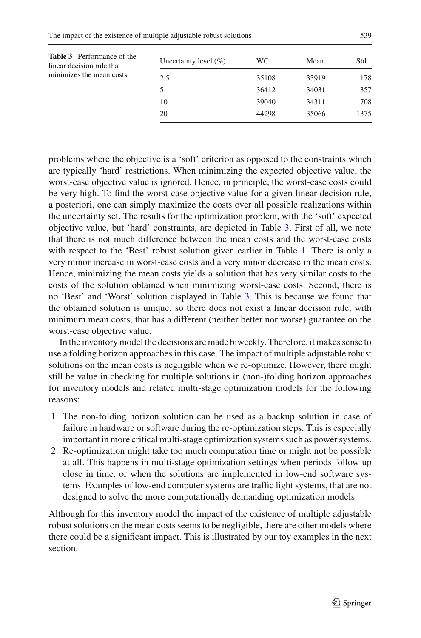<span id="page-8-0"></span>

| <b>Table 3</b> Performance of the<br>linear decision rule that | Uncertainty level $(\% )$ | WC.   | Mean  | Std  |
|----------------------------------------------------------------|---------------------------|-------|-------|------|
| minimizes the mean costs                                       | 2.5                       | 35108 | 33919 | 178  |
|                                                                | 5                         | 36412 | 34031 | 357  |
|                                                                | 10                        | 39040 | 34311 | 708  |
|                                                                | 20                        | 44298 | 35066 | 1375 |

problems where the objective is a 'soft' criterion as opposed to the constraints which are typically 'hard' restrictions. When minimizing the expected objective value, the worst-case objective value is ignored. Hence, in principle, the worst-case costs could be very high. To find the worst-case objective value for a given linear decision rule, a posteriori, one can simply maximize the costs over all possible realizations within the uncertainty set. The results for the optimization problem, with the 'soft' expected objective value, but 'hard' constraints, are depicted in Table [3.](#page-8-0) First of all, we note that there is not much difference between the mean costs and the worst-case costs with respect to the 'Best' robust solution given earlier in Table [1.](#page-4-0) There is only a very minor increase in worst-case costs and a very minor decrease in the mean costs. Hence, minimizing the mean costs yields a solution that has very similar costs to the costs of the solution obtained when minimizing worst-case costs. Second, there is no 'Best' and 'Worst' solution displayed in Table [3.](#page-8-0) This is because we found that the obtained solution is unique, so there does not exist a linear decision rule, with minimum mean costs, that has a different (neither better nor worse) guarantee on the worst-case objective value.

In the inventory model the decisions are made biweekly. Therefore, it makes sense to use a folding horizon approaches in this case. The impact of multiple adjustable robust solutions on the mean costs is negligible when we re-optimize. However, there might still be value in checking for multiple solutions in (non-)folding horizon approaches for inventory models and related multi-stage optimization models for the following reasons:

- 1. The non-folding horizon solution can be used as a backup solution in case of failure in hardware or software during the re-optimization steps. This is especially important in more critical multi-stage optimization systems such as power systems.
- 2. Re-optimization might take too much computation time or might not be possible at all. This happens in multi-stage optimization settings when periods follow up close in time, or when the solutions are implemented in low-end software systems. Examples of low-end computer systems are traffic light systems, that are not designed to solve the more computationally demanding optimization models.

Although for this inventory model the impact of the existence of multiple adjustable robust solutions on the mean costs seems to be negligible, there are other models where there could be a significant impact. This is illustrated by our toy examples in the next section.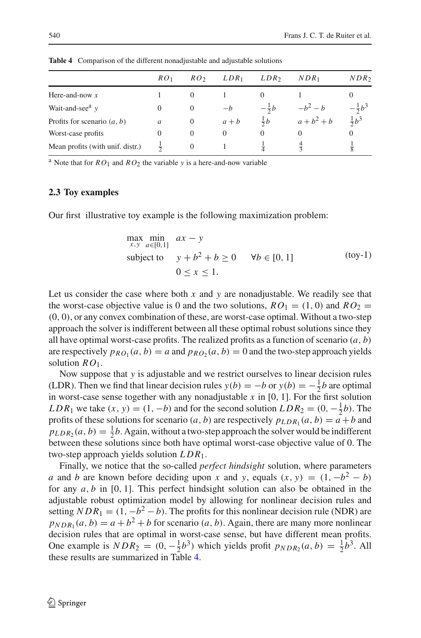<span id="page-9-0"></span>

| $LDR_1$<br>LDR <sub>2</sub><br>$NDR_1$<br>RO <sub>2</sub><br>RO <sub>1</sub>     | NDR <sub>2</sub>  |  |
|----------------------------------------------------------------------------------|-------------------|--|
|                                                                                  |                   |  |
| Here-and-now $x$                                                                 |                   |  |
| $-b^2-b$<br>$-\frac{1}{2}b$<br>Wait-and-see $a$ $v$<br>$\Omega$<br>$-b$          | $-\frac{1}{2}b^3$ |  |
| $a+b^2+b$<br>$rac{1}{2}b$<br>Profits for scenario $(a, b)$<br>$a + b$<br>0<br>a  | $\frac{1}{2}b^3$  |  |
| Worst-case profits<br>$\Omega$<br>$\Omega$<br>$\Omega$<br>$\Omega$<br>$\theta$   | $\theta$          |  |
| $rac{4}{3}$<br>$\frac{1}{2}$<br>Mean profits (with unif. distr.)<br>$\mathbf{0}$ | $\frac{1}{8}$     |  |

**Table 4** Comparison of the different nonadjustable and adjustable solutions

<sup>a</sup> Note that for  $RO<sub>1</sub>$  and  $RO<sub>2</sub>$  the variable *y* is a here-and-now variable

#### **2.3 Toy examples**

Our first illustrative toy example is the following maximization problem:

$$
\max_{x,y} \min_{a \in [0,1]} \quad ax - y
$$
\n
$$
\text{subject to} \quad y + b^2 + b \ge 0 \quad \forall b \in [0,1] \quad \text{(toy-1)}
$$
\n
$$
0 \le x \le 1.
$$

Let us consider the case where both *x* and *y* are nonadjustable. We readily see that the worst-case objective value is 0 and the two solutions,  $RO_1 = (1, 0)$  and  $RO_2 =$ *(*0*,* 0*)*, or any convex combination of these, are worst-case optimal. Without a two-step approach the solver is indifferent between all these optimal robust solutions since they all have optimal worst-case profits. The realized profits as a function of scenario  $(a, b)$ are respectively  $p_{RO_1}(a, b) = a$  and  $p_{RO_2}(a, b) = 0$  and the two-step approach yields solution *RO*1.

Now suppose that *y* is adjustable and we restrict ourselves to linear decision rules (LDR). Then we find that linear decision rules  $y(b) = -b$  or  $y(b) = -\frac{1}{2}b$  are optimal in worst-case sense together with any nonadjustable *x* in [0*,* 1]. For the first solution *LDR*<sub>1</sub> we take  $(x, y) = (1, -b)$  and for the second solution  $LDR_2 = (0, -\frac{1}{2}b)$ . The profits of these solutions for scenario  $(a, b)$  are respectively  $p_{LDR_1}(a, b) = a + b$  and  $p_{LDR_2}(a, b) = \frac{1}{2}b$ . Again, without a two-step approach the solver would be indifferent between these solutions since both have optimal worst-case objective value of 0. The two-step approach yields solution *LDR*1.

Finally, we notice that the so-called *perfect hindsight* solution, where parameters *a* and *b* are known before deciding upon *x* and *y*, equals  $(x, y) = (1, -b^2 - b)$ for any *a, b* in [0*,* 1]. This perfect hindsight solution can also be obtained in the adjustable robust optimization model by allowing for nonlinear decision rules and setting  $NDR_1 = (1, -b^2 - b)$ . The profits for this nonlinear decision rule (NDR) are  $p_{NDR_1}(a, b) = a + b^2 + b$  for scenario  $(a, b)$ . Again, there are many more nonlinear decision rules that are optimal in worst-case sense, but have different mean profits. One example is  $NDR_2 = (0, -\frac{1}{2}b^3)$  which yields profit  $p_{NDR_2}(a, b) = \frac{1}{2}b^3$ . All these results are summarized in Table [4.](#page-9-0)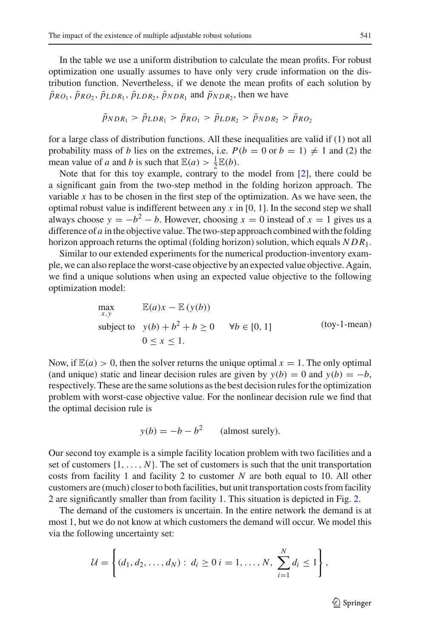In the table we use a uniform distribution to calculate the mean profits. For robust optimization one usually assumes to have only very crude information on the distribution function. Nevertheless, if we denote the mean profits of each solution by  $\bar{p}_{RO_1}$ ,  $\bar{p}_{RO_2}$ ,  $\bar{p}_{LDR_1}$ ,  $\bar{p}_{LDR_2}$ ,  $\bar{p}_{NDR_1}$  and  $\bar{p}_{NDR_2}$ , then we have

$$
\bar{p}_{NDR_1} > \bar{p}_{LDR_1} > \bar{p}_{RO_1} > \bar{p}_{LDR_2} > \bar{p}_{NDR_2} > \bar{p}_{RO_2}
$$

for a large class of distribution functions. All these inequalities are valid if (1) not all probability mass of *b* lies on the extremes, i.e.  $P(b = 0 \text{ or } b = 1) \neq 1$  and (2) the mean value of *a* and *b* is such that  $\mathbb{E}(a) > \frac{1}{2}\mathbb{E}(b)$ .

Note that for this toy example, contrary to the model from [\[2](#page-14-0)], there could be a significant gain from the two-step method in the folding horizon approach. The variable  $x$  has to be chosen in the first step of the optimization. As we have seen, the optimal robust value is indifferent between any *x* in [0*,* 1]. In the second step we shall always choose  $y = -b^2 - b$ . However, choosing  $x = 0$  instead of  $x = 1$  gives us a difference of *a* in the objective value. The two-step approach combined with the folding horizon approach returns the optimal (folding horizon) solution, which equals *NDR*1.

Similar to our extended experiments for the numerical production-inventory example, we can also replace the worst-case objective by an expected value objective. Again, we find a unique solutions when using an expected value objective to the following optimization model:

$$
\max_{x,y} \mathbb{E}(a)x - \mathbb{E}(y(b))
$$
\n
$$
\text{subject to} \quad y(b) + b^2 + b \ge 0 \quad \forall b \in [0, 1] \quad \text{(toy-1-mean)}
$$
\n
$$
0 \le x \le 1.
$$

Now, if  $\mathbb{E}(a) > 0$ , then the solver returns the unique optimal  $x = 1$ . The only optimal (and unique) static and linear decision rules are given by  $y(b) = 0$  and  $y(b) = -b$ , respectively. These are the same solutions as the best decision rules for the optimization problem with worst-case objective value. For the nonlinear decision rule we find that the optimal decision rule is

$$
y(b) = -b - b^2 \qquad \text{(almost surely)}.
$$

Our second toy example is a simple facility location problem with two facilities and a set of customers  $\{1, \ldots, N\}$ . The set of customers is such that the unit transportation costs from facility 1 and facility 2 to customer *N* are both equal to 10. All other customers are (much) closer to both facilities, but unit transportation costs from facility 2 are significantly smaller than from facility 1. This situation is depicted in Fig. [2.](#page-11-0)

The demand of the customers is uncertain. In the entire network the demand is at most 1, but we do not know at which customers the demand will occur. We model this via the following uncertainty set:

$$
\mathcal{U} = \left\{ (d_1, d_2, \dots, d_N) : d_i \geq 0 \ i = 1, \dots, N, \ \sum_{i=1}^N d_i \leq 1 \right\},\
$$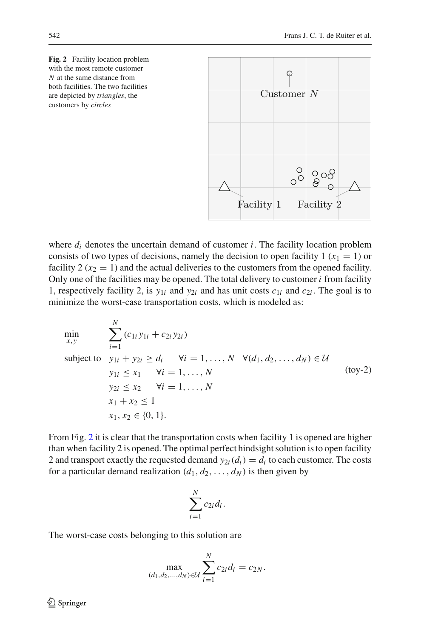<span id="page-11-0"></span>**Fig. 2** Facility location problem with the most remote customer *N* at the same distance from both facilities. The two facilities are depicted by *triangles*, the customers by *circles*



where  $d_i$  denotes the uncertain demand of customer  $i$ . The facility location problem consists of two types of decisions, namely the decision to open facility  $1 (x_1 = 1)$  or facility  $2(x_2 = 1)$  and the actual deliveries to the customers from the opened facility. Only one of the facilities may be opened. The total delivery to customer *i* from facility 1, respectively facility 2, is  $y_{1i}$  and  $y_{2i}$  and has unit costs  $c_{1i}$  and  $c_{2i}$ . The goal is to minimize the worst-case transportation costs, which is modeled as:

$$
\min_{x,y} \qquad \sum_{i=1}^{N} (c_{1i}y_{1i} + c_{2i}y_{2i})
$$
\n
$$
\text{subject to} \quad y_{1i} + y_{2i} \ge d_i \qquad \forall i = 1, ..., N \quad \forall (d_1, d_2, ..., d_N) \in \mathcal{U}
$$
\n
$$
y_{1i} \le x_1 \qquad \forall i = 1, ..., N
$$
\n
$$
y_{2i} \le x_2 \qquad \forall i = 1, ..., N
$$
\n
$$
x_1 + x_2 \le 1
$$
\n
$$
x_1, x_2 \in \{0, 1\}.
$$
\n
$$
(toy - 2)
$$

From Fig. [2](#page-11-0) it is clear that the transportation costs when facility 1 is opened are higher than when facility 2 is opened. The optimal perfect hindsight solution is to open facility 2 and transport exactly the requested demand  $y_{2i}(d_i) = d_i$  to each customer. The costs for a particular demand realization  $(d_1, d_2, \ldots, d_N)$  is then given by

$$
\sum_{i=1}^N c_{2i} d_i.
$$

The worst-case costs belonging to this solution are

$$
\max_{(d_1, d_2, \dots, d_N) \in \mathcal{U}} \sum_{i=1}^N c_{2i} d_i = c_{2N}.
$$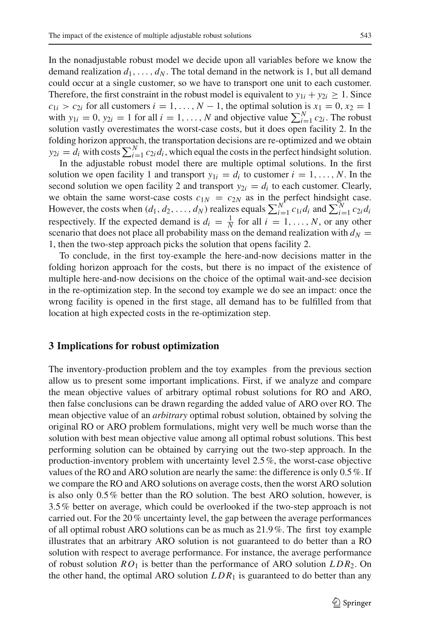In the nonadjustable robust model we decide upon all variables before we know the demand realization  $d_1, \ldots, d_N$ . The total demand in the network is 1, but all demand could occur at a single customer, so we have to transport one unit to each customer. Therefore, the first constraint in the robust model is equivalent to  $y_{1i} + y_{2i} > 1$ . Since  $c_{1i} > c_{2i}$  for all customers  $i = 1, \ldots, N - 1$ , the optimal solution is  $x_1 = 0, x_2 = 1$ with  $y_{1i} = 0$ ,  $y_{2i} = 1$  for all  $i = 1, ..., N$  and objective value  $\sum_{i=1}^{N} c_{2i}$ . The robust solution vastly overestimates the worst-case costs, but it does open facility 2. In the folding horizon approach, the transportation decisions are re-optimized and we obtain  $y_{2i} = d_i$  with costs  $\sum_{i=1}^{N} c_{2i} d_i$ , which equal the costs in the perfect hindsight solution.

In the adjustable robust model there are multiple optimal solutions. In the first solution we open facility 1 and transport  $y_{1i} = d_i$  to customer  $i = 1, \ldots, N$ . In the second solution we open facility 2 and transport  $y_{2i} = d_i$  to each customer. Clearly, we obtain the same worst-case costs  $c_{1N} = c_{2N}$  as in the perfect hindsight case. However, the costs when  $(d_1, d_2, \ldots, d_N)$  realizes equals  $\sum_{i=1}^N c_{1i} d_i$  and  $\sum_{i=1}^N c_{2i} d_i$ respectively. If the expected demand is  $d_i = \frac{1}{N}$  for all  $i = 1, ..., N$ , or any other scenario that does not place all probability mass on the demand realization with  $d_N =$ 1, then the two-step approach picks the solution that opens facility 2.

To conclude, in the first toy-example the here-and-now decisions matter in the folding horizon approach for the costs, but there is no impact of the existence of multiple here-and-now decisions on the choice of the optimal wait-and-see decision in the re-optimization step. In the second toy example we do see an impact: once the wrong facility is opened in the first stage, all demand has to be fulfilled from that location at high expected costs in the re-optimization step.

### **3 Implications for robust optimization**

The inventory-production problem and the toy examples from the previous section allow us to present some important implications. First, if we analyze and compare the mean objective values of arbitrary optimal robust solutions for RO and ARO, then false conclusions can be drawn regarding the added value of ARO over RO. The mean objective value of an *arbitrary* optimal robust solution, obtained by solving the original RO or ARO problem formulations, might very well be much worse than the solution with best mean objective value among all optimal robust solutions. This best performing solution can be obtained by carrying out the two-step approach. In the production-inventory problem with uncertainty level 2.5%, the worst-case objective values of the RO and ARO solution are nearly the same: the difference is only 0.5%. If we compare the RO and ARO solutions on average costs, then the worst ARO solution is also only 0.5% better than the RO solution. The best ARO solution, however, is 3.5% better on average, which could be overlooked if the two-step approach is not carried out. For the 20% uncertainty level, the gap between the average performances of all optimal robust ARO solutions can be as much as 21.9%. The first toy example illustrates that an arbitrary ARO solution is not guaranteed to do better than a RO solution with respect to average performance. For instance, the average performance of robust solution *RO*<sup>1</sup> is better than the performance of ARO solution *LDR*2. On the other hand, the optimal ARO solution  $LDR<sub>1</sub>$  is guaranteed to do better than any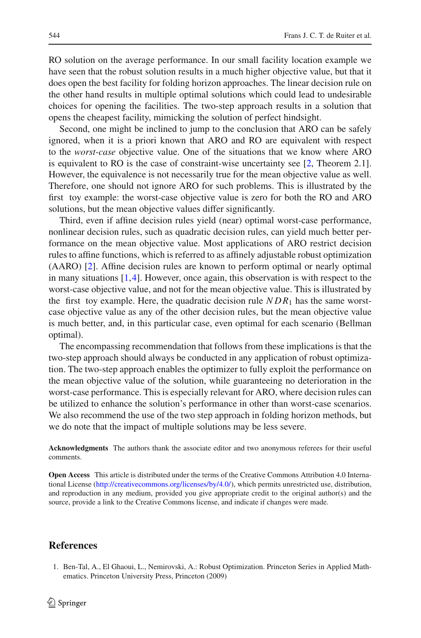RO solution on the average performance. In our small facility location example we have seen that the robust solution results in a much higher objective value, but that it does open the best facility for folding horizon approaches. The linear decision rule on the other hand results in multiple optimal solutions which could lead to undesirable choices for opening the facilities. The two-step approach results in a solution that opens the cheapest facility, mimicking the solution of perfect hindsight.

Second, one might be inclined to jump to the conclusion that ARO can be safely ignored, when it is a priori known that ARO and RO are equivalent with respect to the *worst-case* objective value. One of the situations that we know where ARO is equivalent to RO is the case of constraint-wise uncertainty see [\[2](#page-14-0), Theorem 2.1]. However, the equivalence is not necessarily true for the mean objective value as well. Therefore, one should not ignore ARO for such problems. This is illustrated by the first toy example: the worst-case objective value is zero for both the RO and ARO solutions, but the mean objective values differ significantly.

Third, even if affine decision rules yield (near) optimal worst-case performance, nonlinear decision rules, such as quadratic decision rules, can yield much better performance on the mean objective value. Most applications of ARO restrict decision rules to affine functions, which is referred to as affinely adjustable robust optimization (AARO) [\[2\]](#page-14-0). Affine decision rules are known to perform optimal or nearly optimal in many situations [\[1,](#page-13-0)[4\]](#page-14-8). However, once again, this observation is with respect to the worst-case objective value, and not for the mean objective value. This is illustrated by the first toy example. Here, the quadratic decision rule  $NDR<sub>1</sub>$  has the same worstcase objective value as any of the other decision rules, but the mean objective value is much better, and, in this particular case, even optimal for each scenario (Bellman optimal).

The encompassing recommendation that follows from these implications is that the two-step approach should always be conducted in any application of robust optimization. The two-step approach enables the optimizer to fully exploit the performance on the mean objective value of the solution, while guaranteeing no deterioration in the worst-case performance. This is especially relevant for ARO, where decision rules can be utilized to enhance the solution's performance in other than worst-case scenarios. We also recommend the use of the two step approach in folding horizon methods, but we do note that the impact of multiple solutions may be less severe.

**Acknowledgments** The authors thank the associate editor and two anonymous referees for their useful comments.

**Open Access** This article is distributed under the terms of the Creative Commons Attribution 4.0 International License [\(http://creativecommons.org/licenses/by/4.0/\)](http://creativecommons.org/licenses/by/4.0/), which permits unrestricted use, distribution, and reproduction in any medium, provided you give appropriate credit to the original author(s) and the source, provide a link to the Creative Commons license, and indicate if changes were made.

# <span id="page-13-0"></span>**References**

1. Ben-Tal, A., El Ghaoui, L., Nemirovski, A.: Robust Optimization. Princeton Series in Applied Mathematics. Princeton University Press, Princeton (2009)